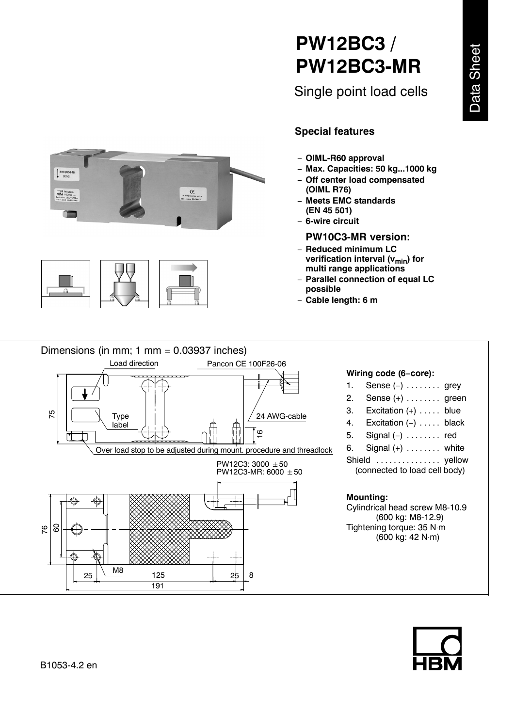# **PW12BC3 / PW12BC3-MR**

Single point load cells





## **Special features**

- ï **OIML-R60 approval**
- ï **Max. Capacities: 50 kg...1000 kg**
- Off center load compensated **(OIML R76)**
- **Meets EMC standards (EN 45 501)**
- 6-wire circuit

#### **PW10C3-MR version:**

- Reduced minimum LC **verification interval (v<sub>min</sub>) for multi range applications**
- **Parallel connection of equal LC possible**
- ï **Cable length: 6 m**

Dimensions (in mm; 1 mm = 0.03937 inches) Load direction Pancon CE 100F26-06 **Wiring code (6-core):** 1. Sense  $(-)$  . . . . . . . . grey 2. Sense  $(+)$  . . . . . . . . green 3. Excitation  $(+)$  ..... blue 75  $\frac{1}{60}$   $\frac{1}{10}$ 24 AWG-cable Type 4. Excitation  $(-)$  ..... black label  $\circ$ 5. Signal  $(-)$  . . . . . . . . red 6. Signal  $(+)$  ........ white Over load stop to be adjusted during mount. procedure and threadlock Shield . . . . . . . . . . . . . . . yellow  $PW12C3: 3000 \pm 50$ (connected to load cell body) PW12C3-MR: 6000  $\pm$  50 **Mounting:** Cylindrical head screw M8-10.9 (600 kg: M8-12.9) Tightening torque: 35 N⋅m 76 ခြ (600 kg: 42 N⋅m)  $\frac{M8}{25}$  125  $\Big|$  25 8 25 191